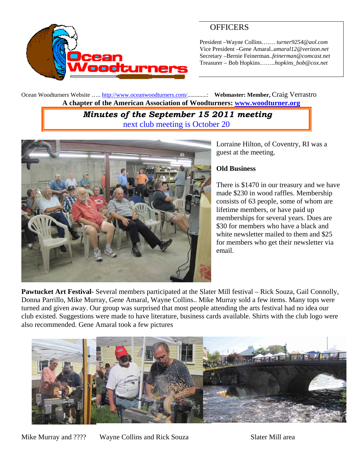

# **OFFICERS**

President –Wayne Collins….… *turner9254@aol.com*  Vice President –Gene Amaral..*amaral12@verizon.net* Secretary –Bernie Feinerman*..feinerman@comcast.net*  Treasurer – Bob Hopkins……..*hopkins\_bob@cox.net*

Ocean Woodturners Website ….. http://www.oceanwoodturners.com/.............: **Webmaster: Member,** Craig Verrastro **A chapter of the American Association of Woodturners: www.woodturner.org** 

## *Minutes of the September 15 2011 meeting*  next club meeting is October 20



Lorraine Hilton, of Coventry, RI was a guest at the meeting.

### **Old Business**

There is \$1470 in our treasury and we have made \$230 in wood raffles. Membership consists of 63 people, some of whom are lifetime members, or have paid up memberships for several years. Dues are \$30 for members who have a black and white newsletter mailed to them and \$25 for members who get their newsletter via email.

**Pawtucket Art Festival-** Several members participated at the Slater Mill festival – Rick Souza, Gail Connolly, Donna Parrillo, Mike Murray, Gene Amaral, Wayne Collins.. Mike Murray sold a few items. Many tops were turned and given away. Our group was surprised that most people attending the arts festival had no idea our club existed. Suggestions were made to have literature, business cards available. Shirts with the club logo were also recommended. Gene Amaral took a few pictures

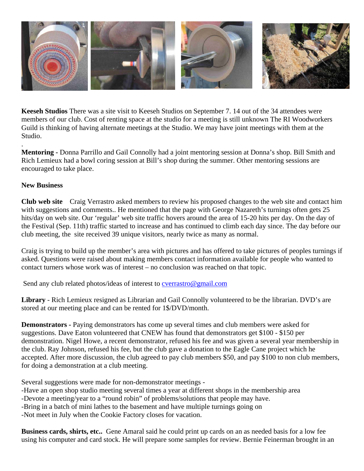

**Keeseh Studios** There was a site visit to Keeseh Studios on September 7. 14 out of the 34 attendees were members of our club. Cost of renting space at the studio for a meeting is still unknown The RI Woodworkers Guild is thinking of having alternate meetings at the Studio. We may have joint meetings with them at the Studio.

**Mentoring -** Donna Parrillo and Gail Connolly had a joint mentoring session at Donna's shop. Bill Smith and Rich Lemieux had a bowl coring session at Bill's shop during the summer. Other mentoring sessions are encouraged to take place.

#### **New Business**

.

**Club web site** Craig Verrastro asked members to review his proposed changes to the web site and contact him with suggestions and comments.. He mentioned that the page with George Nazareth's turnings often gets 25 hits/day on web site. Our 'regular' web site traffic hovers around the area of 15-20 hits per day. On the day of the Festival (Sep. 11th) traffic started to increase and has continued to climb each day since. The day before our club meeting, the site received 39 unique visitors, nearly twice as many as normal.

Craig is trying to build up the member's area with pictures and has offered to take pictures of peoples turnings if asked. Questions were raised about making members contact information available for people who wanted to contact turners whose work was of interest – no conclusion was reached on that topic.

Send any club related photos/ideas of interest to cverrastro@gmail.com

**Library** - Rich Lemieux resigned as Librarian and Gail Connolly volunteered to be the librarian. DVD's are stored at our meeting place and can be rented for 1\$/DVD/month.

**Demonstrators -** Paying demonstrators has come up several times and club members were asked for suggestions. Dave Eaton volunteered that CNEW has found that demonstrators get \$100 - \$150 per demonstration. Nigel Howe, a recent demonstrator, refused his fee and was given a several year membership in the club. Ray Johnson, refused his fee, but the club gave a donation to the Eagle Cane project which he accepted. After more discussion, the club agreed to pay club members \$50, and pay \$100 to non club members, for doing a demonstration at a club meeting.

Several suggestions were made for non-demonstrator meetings -

-Have an open shop studio meeting several times a year at different shops in the membership area

-Devote a meeting/year to a "round robin" of problems/solutions that people may have.

-Bring in a batch of mini lathes to the basement and have multiple turnings going on

-Not meet in July when the Cookie Factory closes for vacation.

**Business cards, shirts, etc..** Gene Amaral said he could print up cards on an as needed basis for a low fee using his computer and card stock. He will prepare some samples for review. Bernie Feinerman brought in an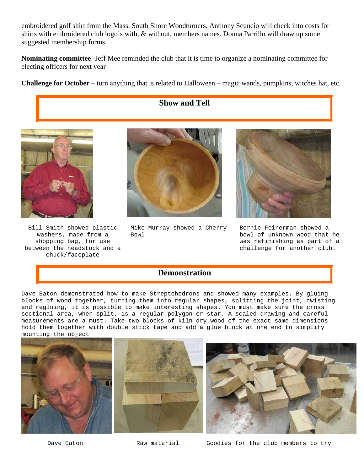embroidered golf shirt from the Mass. South Shore Woodturners. Anthony Scuncio will check into costs for shirts with embroidered club logo's with, & without, members names. Donna Parrillo will draw up some suggested membership forms

**Nominating committee** -Jeff Mee reminded the club that it is time to organize a nominating committee for electing officers for next year

**Challenge for October** – turn anything that is related to Halloween – magic wands, pumpkins, witches hat, etc.





Bill Smith showed plastic washers, made from a shopping bag, for use between the headstock and a chuck/faceplate



Mike Murray showed a Cherry Bowl



Bernie Feinerman showed a bowl of unknown wood that he was refinishing as part of a challenge for another club.

## **Demonstration**

Dave Eaton demonstrated how to make Streptohedrons and showed many examples. By gluing blocks of wood together, turning them into regular shapes, splitting the joint, twisting and regluing, it is possible to make interesting shapes. You must make sure the cross sectional area, when split, is a regular polygon or star. A scaled drawing and careful measurements are a must. Take two blocks of kiln dry wood of the exact same dimensions hold them together with double stick tape and add a glue block at one end to simplify mounting the object





Dave Eaton The Raw material Goodies for the club members to try